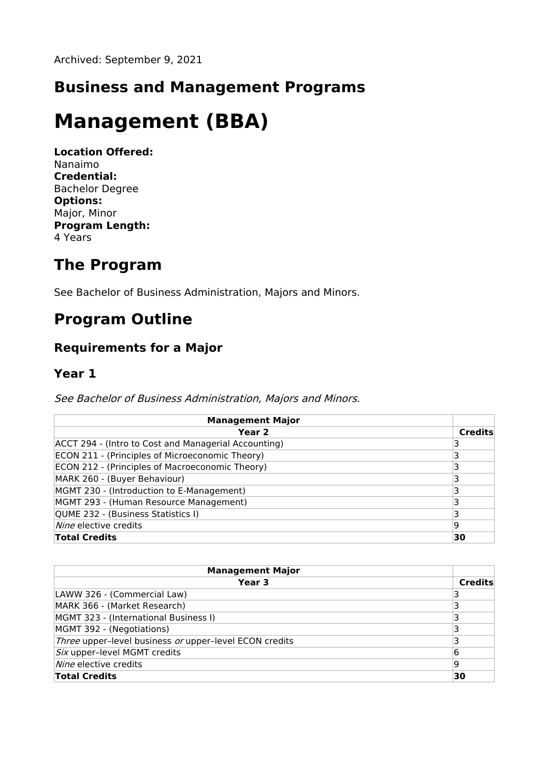## **Business and Management Programs**

# **Management (BBA)**

**Location Offered:** Nanaimo **Credential:** Bachelor Degree **Options:** Major, Minor **Program Length:** 4 Years

## **The Program**

See Bachelor of Business Administration, Majors and Minors.

## **Program Outline**

#### **Requirements for a Major**

#### **Year 1**

See Bachelor of Business Administration, Majors and Minors.

| <b>Management Major</b>                              |                |
|------------------------------------------------------|----------------|
| Year <sub>2</sub>                                    | <b>Credits</b> |
| ACCT 294 - (Intro to Cost and Managerial Accounting) |                |
| ECON 211 - (Principles of Microeconomic Theory)      |                |
| ECON 212 - (Principles of Macroeconomic Theory)      |                |
| MARK 260 - (Buyer Behaviour)                         |                |
| MGMT 230 - (Introduction to E-Management)            |                |
| MGMT 293 - (Human Resource Management)               |                |
| QUME 232 - (Business Statistics I)                   |                |
| <i>Nine</i> elective credits                         | 19             |
| <b>Total Credits</b>                                 | 30             |

| <b>Management Major</b>                                |                |
|--------------------------------------------------------|----------------|
| Year 3                                                 | <b>Credits</b> |
| LAWW 326 - (Commercial Law)                            |                |
| MARK 366 - (Market Research)                           |                |
| MGMT 323 - (International Business I)                  |                |
| MGMT 392 - (Negotiations)                              |                |
| Three upper-level business or upper-level ECON credits |                |
| Six upper-level MGMT credits                           | 6              |
| Nine elective credits                                  | ۱q             |
| <b>Total Credits</b>                                   | 30             |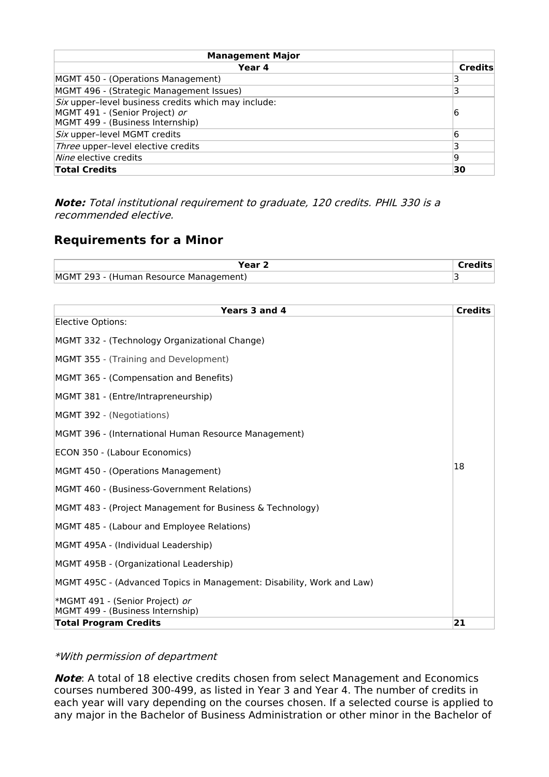| <b>Management Major</b>                                    |                |
|------------------------------------------------------------|----------------|
| Year 4                                                     | <b>Credits</b> |
| MGMT 450 - (Operations Management)                         |                |
| MGMT 496 - (Strategic Management Issues)                   |                |
| <i>Six</i> upper-level business credits which may include: |                |
| MGMT 491 - (Senior Project) or                             | 16             |
| MGMT 499 - (Business Internship)                           |                |
| Six upper-level MGMT credits                               | 6              |
| Three upper-level elective credits                         | 3              |
| <i>Nine</i> elective credits                               | 19             |
| <b>Total Credits</b>                                       | 30             |

**Note:** Total institutional requirement to graduate, 120 credits. PHIL 330 is <sup>a</sup> recommended elective.

### **Requirements for a Minor**

| 'ear                                   |  |
|----------------------------------------|--|
| MGMT 293 - (Human Resource Management) |  |

| Years 3 and 4                                                         | <b>Credits</b> |
|-----------------------------------------------------------------------|----------------|
| Elective Options:                                                     |                |
| MGMT 332 - (Technology Organizational Change)                         |                |
| MGMT 355 - (Training and Development)                                 |                |
| MGMT 365 - (Compensation and Benefits)                                |                |
| MGMT 381 - (Entre/Intrapreneurship)                                   |                |
| MGMT 392 - (Negotiations)                                             |                |
| MGMT 396 - (International Human Resource Management)                  |                |
| ECON 350 - (Labour Economics)                                         |                |
| MGMT 450 - (Operations Management)                                    | 18             |
| MGMT 460 - (Business-Government Relations)                            |                |
| MGMT 483 - (Project Management for Business & Technology)             |                |
| MGMT 485 - (Labour and Employee Relations)                            |                |
| MGMT 495A - (Individual Leadership)                                   |                |
| MGMT 495B - (Organizational Leadership)                               |                |
| MGMT 495C - (Advanced Topics in Management: Disability, Work and Law) |                |
| *MGMT 491 - (Senior Project) or<br>MGMT 499 - (Business Internship)   |                |
| Total Program Credits                                                 | 21             |

#### \*With permission of department

**Note**: A total of 18 elective credits chosen from select Management and Economics courses numbered 300-499, as listed in Year 3 and Year 4. The number of credits in each year will vary depending on the courses chosen. If a selected course is applied to any major in the Bachelor of Business Administration or other minor in the Bachelor of